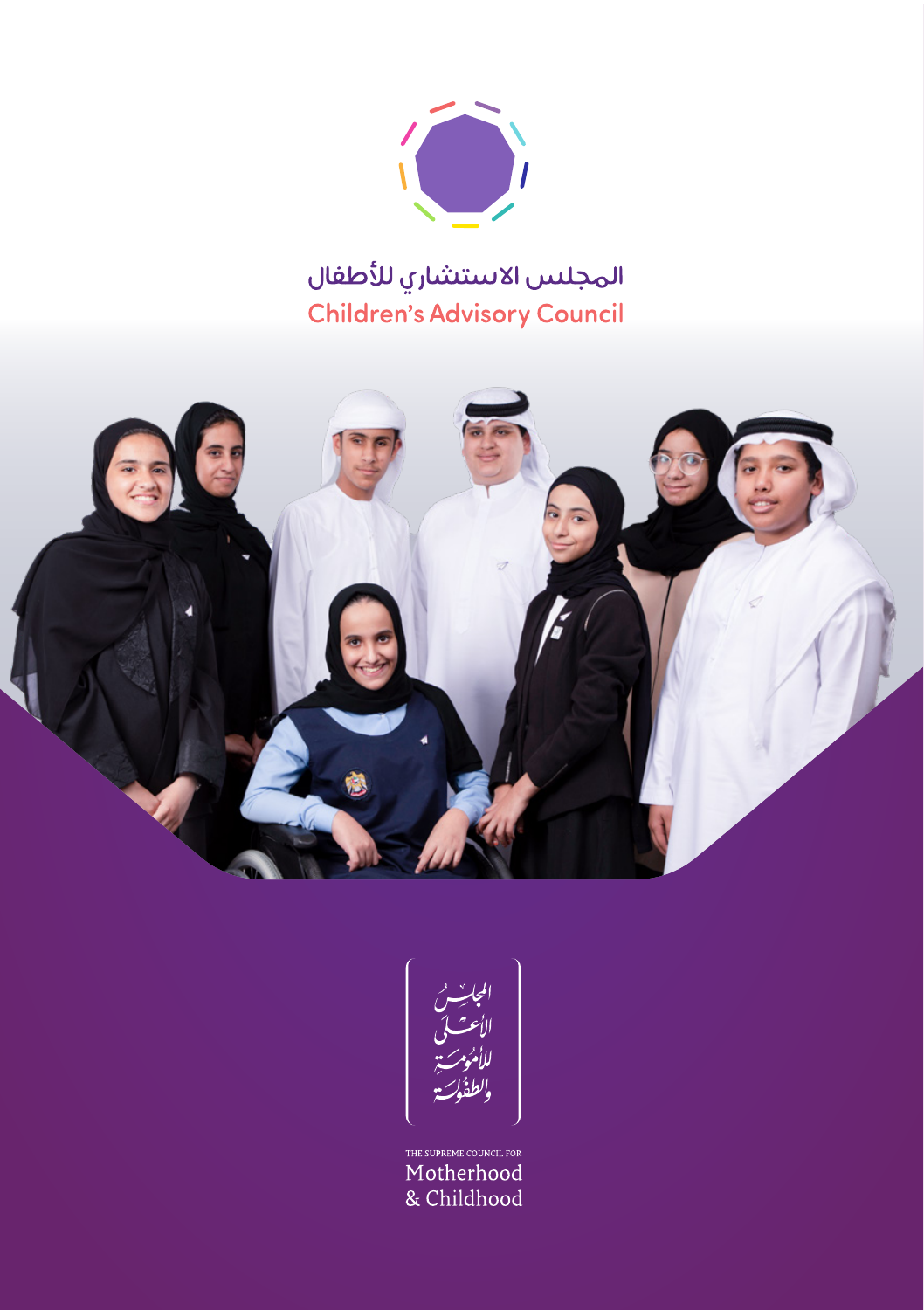

# المجلس الاستشاري للأطفال Children's Advisory Council





THE SUPREME COUNCIL FOR Motherhood & Childhood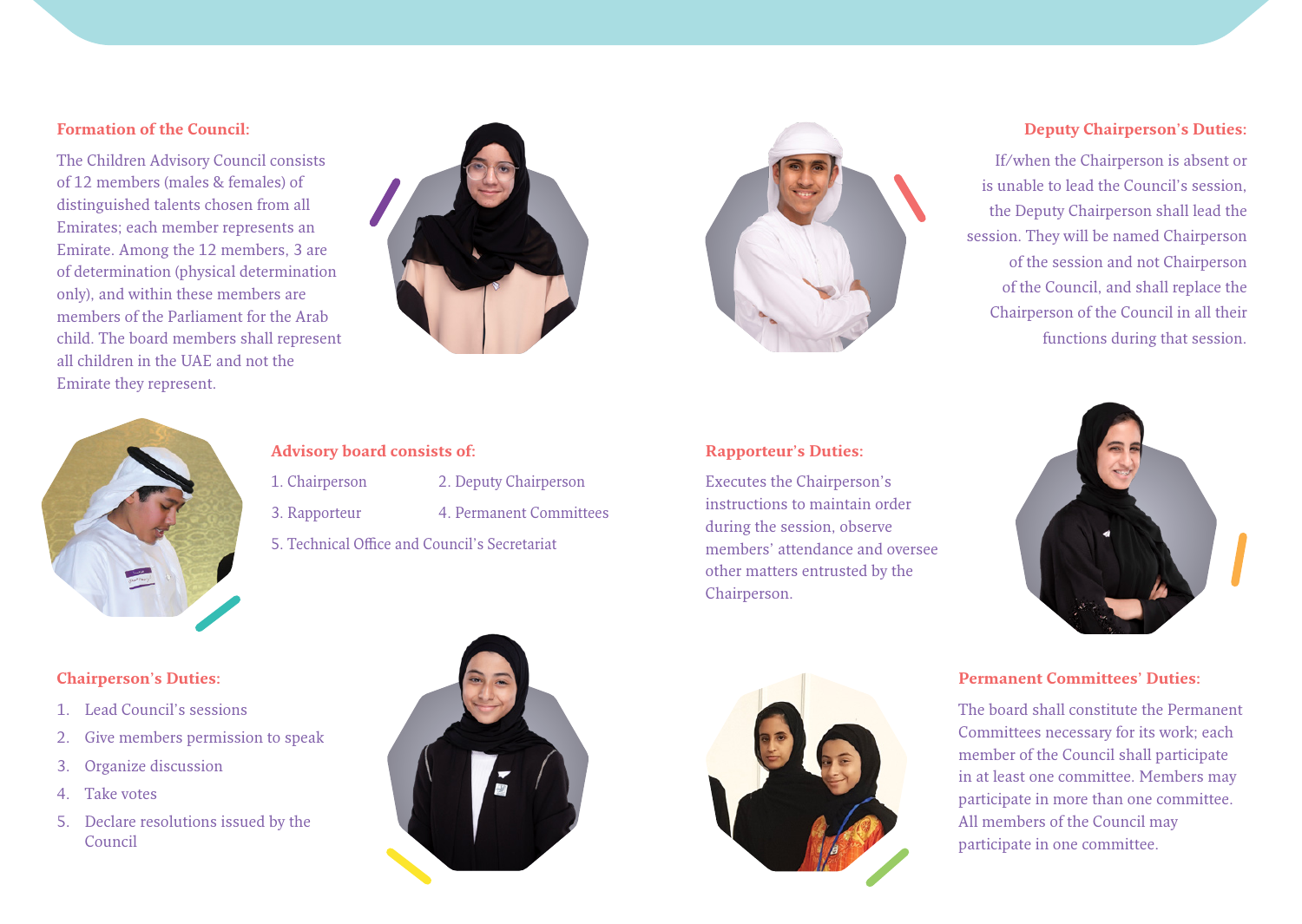### **Formation of the Council:**

The Children Advisory Council consists of 12 members (males & females) of distinguished talents chosen from all Emirates; each member represents an Emirate. Among the 12 members, 3 are of determination (physical determination only), and within these members are members of the Parliament for the Arab child. The board members shall represent all children in the UAE and not the Emirate they represent.





### **Deputy Chairperson's Duties:**

If/when the Chairperson is absent or is unable to lead the Council's session. the Deputy Chairperson shall lead the session. They will be named Chairperson of the session and not Chairperson of the Council, and shall replace the Chairperson of the Council in all their functions during that session.



### **Advisory board consists of:**

- 1. Chairperson 2. Deputy Chairperson
- 3. Rapporteur 4. Permanent Committees
- 
- 5. Technical Office and Council's Secretariat

### **Rapporteur's Duties:**

Executes the Chairperson's instructions to maintain order during the session, observe members' attendance and oversee other matters entrusted by the .Chairperson



### **Chairperson's Duties:**

- 1 Lead Council's sessions
- 2. Give members permission to speak
- 3. Organize discussion
- 4. Take votes
- 5. Declare resolutions issued by the Council





### **Permanent Committees' Duties:**

The board shall constitute the Permanent Committees necessary for its work; each member of the Council shall participate in at least one committee. Members may participate in more than one committee. All members of the Council may participate in one committee.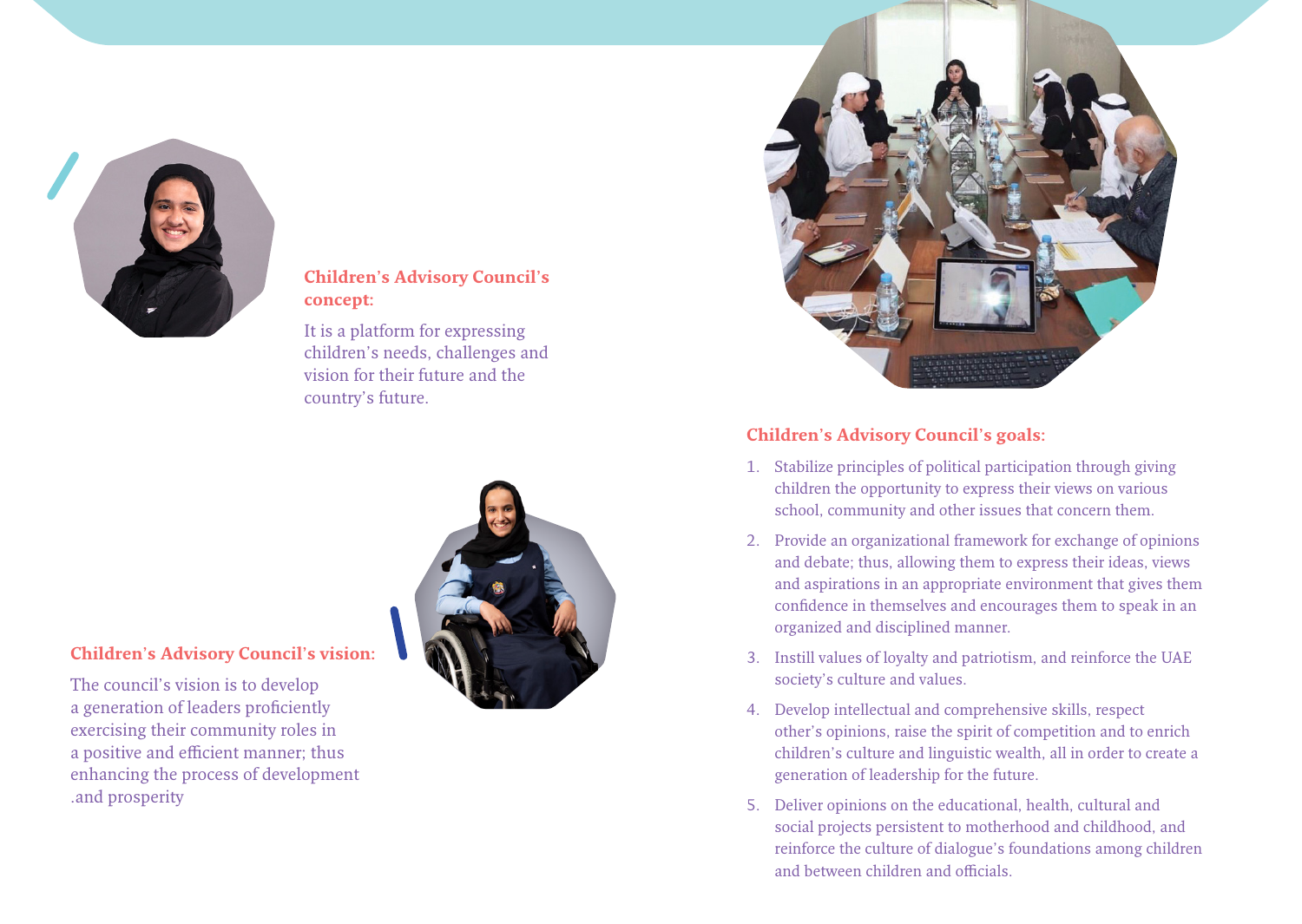

# **Children's Advisory Council's :concept**

It is a platform for expressing children's needs, challenges and vision for their future and the country's future.



## **Children's Advisory Council's vision:**

The council's vision is to develop a generation of leaders proficiently exercising their community roles in a positive and efficient manner; thus enhancing the process of development and prosperity.



# **Children's Advisory Council's goals:**

- 1. Stabilize principles of political participation through giving children the opportunity to express their views on various school, community and other issues that concern them.
- 2. Provide an organizational framework for exchange of opinions and debate; thus, allowing them to express their ideas, views and aspirations in an appropriate environment that gives them confidence in themselves and encourages them to speak in an organized and disciplined manner.
- 3. Instill values of loyalty and patriotism, and reinforce the UAE society's culture and values.
- 4. Develop intellectual and comprehensive skills, respect other's opinions, raise the spirit of competition and to enrich children's culture and linguistic wealth, all in order to create a generation of leadership for the future.
- 5. Deliver opinions on the educational, health, cultural and social projects persistent to motherhood and childhood, and reinforce the culture of dialogue's foundations among children and between children and officials.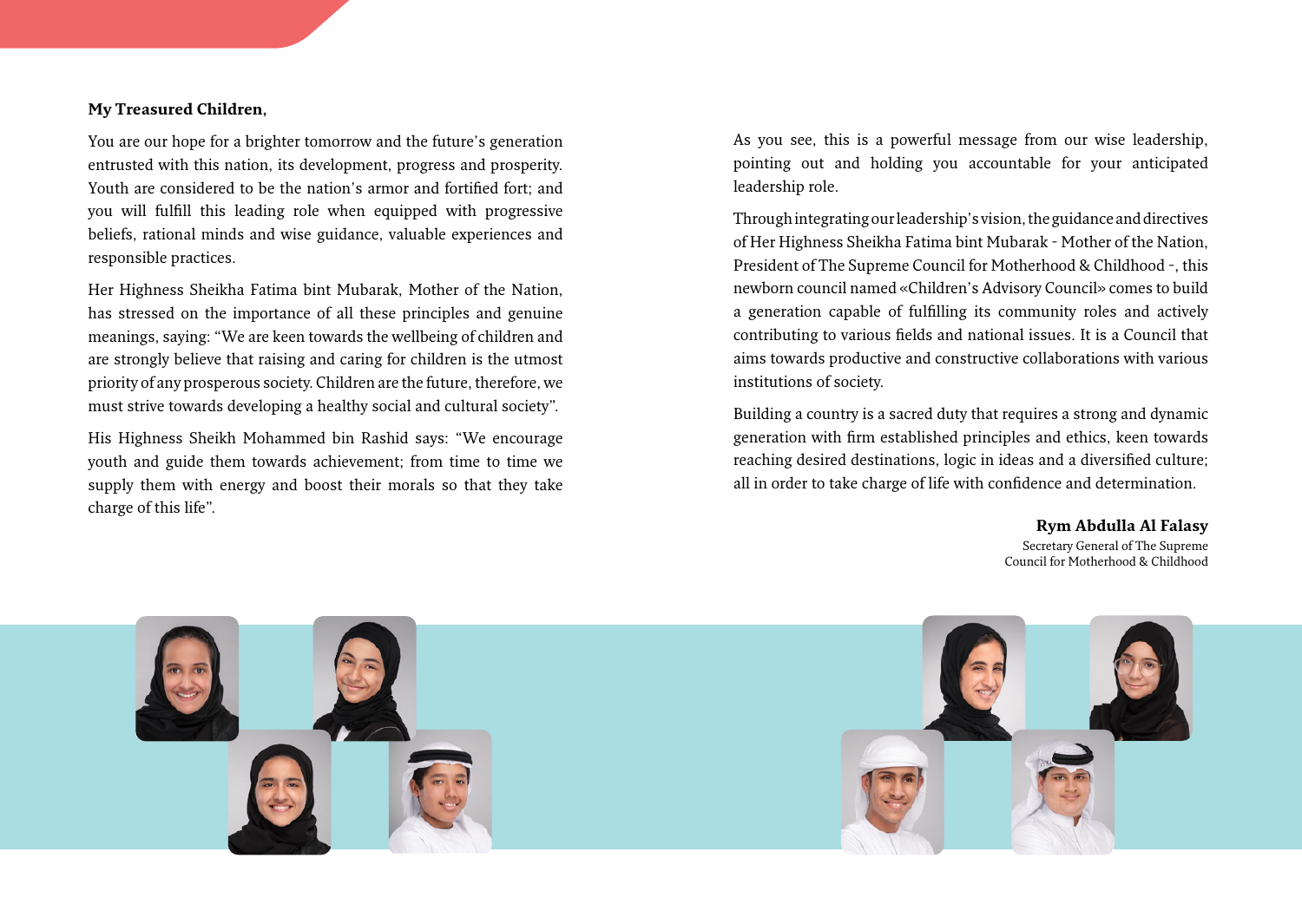### **My Treasured Children,**

You are our hope for a brighter tomorrow and the future's generation entrusted with this nation, its development, progress and prosperity. Youth are considered to be the nation's armor and fortified fort: and you will fulfill this leading role when equipped with progressive beliefs, rational minds and wise guidance, valuable experiences and responsible practices.

Her Highness Sheikha Fatima bint Mubarak, Mother of the Nation, has stressed on the importance of all these principles and genuine meanings, saying: "We are keen towards the wellbeing of children and are strongly believe that raising and caring for children is the utmost priority of any prosperous society. Children are the future, therefore, we must strive towards developing a healthy social and cultural society".

His Highness Sheikh Mohammed bin Rashid says: "We encourage youth and guide them towards achievement; from time to time we supply them with energy and boost their morals so that they take charge of this life".

As you see, this is a powerful message from our wise leadership, pointing out and holding you accountable for your anticipated leadership role.

Through integrating our leadership's vision, the guidance and directives of Her Highness Sheikha Fatima bint Mubarak - Mother of the Nation, President of The Supreme Council for Motherhood & Childhood -, this newborn council named «Children's Advisory Council» comes to build a generation capable of fulfilling its community roles and actively contributing to various fields and national issues. It is a Council that aims towards productive and constructive collaborations with various institutions of society.

Building a country is a sacred duty that requires a strong and dynamic generation with firm established principles and ethics, keen towards reaching desired destinations, logic in ideas and a diversified culture; all in order to take charge of life with confidence and determination.

> **Falasy Al Abdulla Rym** Secretary General of The Supreme Council for Motherhood & Childhood